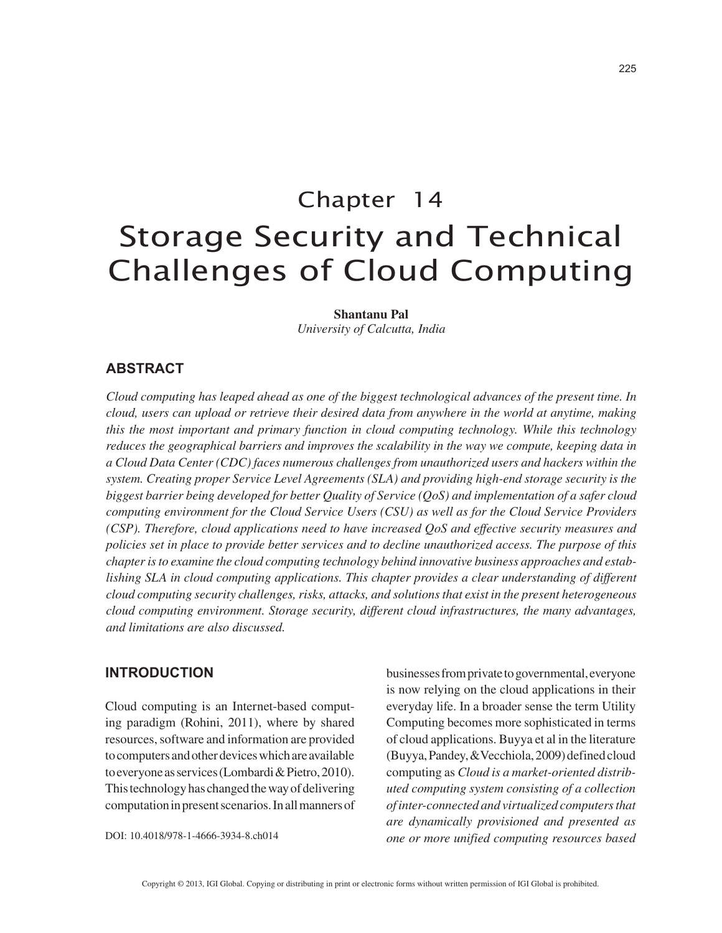# Chapter 14 Storage Security and Technical Challenges of Cloud Computing

#### **Shantanu Pal**

*University of Calcutta, India*

# **ABSTRACT**

*Cloud computing has leaped ahead as one of the biggest technological advances of the present time. In cloud, users can upload or retrieve their desired data from anywhere in the world at anytime, making this the most important and primary function in cloud computing technology. While this technology reduces the geographical barriers and improves the scalability in the way we compute, keeping data in a Cloud Data Center (CDC) faces numerous challenges from unauthorized users and hackers within the system. Creating proper Service Level Agreements (SLA) and providing high-end storage security is the biggest barrier being developed for better Quality of Service (QoS) and implementation of a safer cloud computing environment for the Cloud Service Users (CSU) as well as for the Cloud Service Providers (CSP). Therefore, cloud applications need to have increased QoS and effective security measures and policies set in place to provide better services and to decline unauthorized access. The purpose of this chapter is to examine the cloud computing technology behind innovative business approaches and establishing SLA in cloud computing applications. This chapter provides a clear understanding of different cloud computing security challenges, risks, attacks, and solutions that exist in the present heterogeneous cloud computing environment. Storage security, different cloud infrastructures, the many advantages, and limitations are also discussed.*

## **INTRODUCTION**

Cloud computing is an Internet-based computing paradigm (Rohini, 2011), where by shared resources, software and information are provided to computers and other devices which are available to everyone as services (Lombardi & Pietro, 2010). This technology has changed the way of delivering computation in present scenarios. In all manners of

DOI: 10.4018/978-1-4666-3934-8.ch014

businesses from private to governmental, everyone is now relying on the cloud applications in their everyday life. In a broader sense the term Utility Computing becomes more sophisticated in terms of cloud applications. Buyya et al in the literature (Buyya, Pandey, &Vecchiola, 2009) defined cloud computing as *Cloud is a market-oriented distributed computing system consisting of a collection of inter-connected and virtualized computers that are dynamically provisioned and presented as one or more unified computing resources based*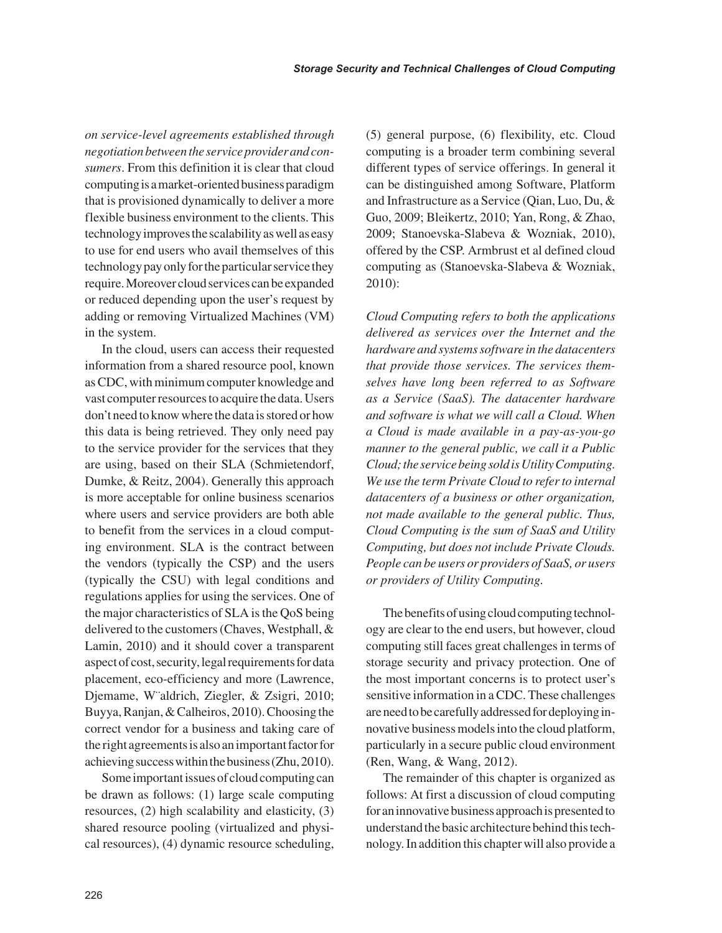*on service-level agreements established through negotiation between the service provider and consumers*. From this definition it is clear that cloud computing is a market-oriented business paradigm that is provisioned dynamically to deliver a more flexible business environment to the clients. This technology improves the scalability as well as easy to use for end users who avail themselves of this technology pay only for the particular service they require. Moreover cloud services can be expanded or reduced depending upon the user's request by adding or removing Virtualized Machines (VM) in the system.

In the cloud, users can access their requested information from a shared resource pool, known as CDC, with minimum computer knowledge and vast computer resources to acquire the data. Users don't need to know where the data is stored or how this data is being retrieved. They only need pay to the service provider for the services that they are using, based on their SLA (Schmietendorf, Dumke, & Reitz, 2004). Generally this approach is more acceptable for online business scenarios where users and service providers are both able to benefit from the services in a cloud computing environment. SLA is the contract between the vendors (typically the CSP) and the users (typically the CSU) with legal conditions and regulations applies for using the services. One of the major characteristics of SLA is the QoS being delivered to the customers (Chaves, Westphall, & Lamin, 2010) and it should cover a transparent aspect of cost, security, legal requirements for data placement, eco-efficiency and more (Lawrence, Djemame, W¨aldrich, Ziegler, & Zsigri, 2010; Buyya, Ranjan, & Calheiros, 2010). Choosing the correct vendor for a business and taking care of the right agreements is also an important factor for achieving success within the business (Zhu, 2010).

Some important issues of cloud computing can be drawn as follows: (1) large scale computing resources, (2) high scalability and elasticity, (3) shared resource pooling (virtualized and physical resources), (4) dynamic resource scheduling, (5) general purpose, (6) flexibility, etc. Cloud computing is a broader term combining several different types of service offerings. In general it can be distinguished among Software, Platform and Infrastructure as a Service (Qian, Luo, Du, & Guo, 2009; Bleikertz, 2010; Yan, Rong, & Zhao, 2009; Stanoevska-Slabeva & Wozniak, 2010), offered by the CSP. Armbrust et al defined cloud computing as (Stanoevska-Slabeva & Wozniak, 2010):

*Cloud Computing refers to both the applications delivered as services over the Internet and the hardware and systems software in the datacenters that provide those services. The services themselves have long been referred to as Software as a Service (SaaS). The datacenter hardware and software is what we will call a Cloud. When a Cloud is made available in a pay-as-you-go manner to the general public, we call it a Public Cloud; the service being sold is Utility Computing. We use the term Private Cloud to refer to internal datacenters of a business or other organization, not made available to the general public. Thus, Cloud Computing is the sum of SaaS and Utility Computing, but does not include Private Clouds. People can be users or providers of SaaS, or users or providers of Utility Computing.*

The benefits of using cloud computing technology are clear to the end users, but however, cloud computing still faces great challenges in terms of storage security and privacy protection. One of the most important concerns is to protect user's sensitive information in a CDC. These challenges are need to be carefully addressed for deploying innovative business models into the cloud platform, particularly in a secure public cloud environment (Ren, Wang, & Wang, 2012).

The remainder of this chapter is organized as follows: At first a discussion of cloud computing for an innovative business approach is presented to understand the basic architecture behind this technology. In addition this chapter will also provide a